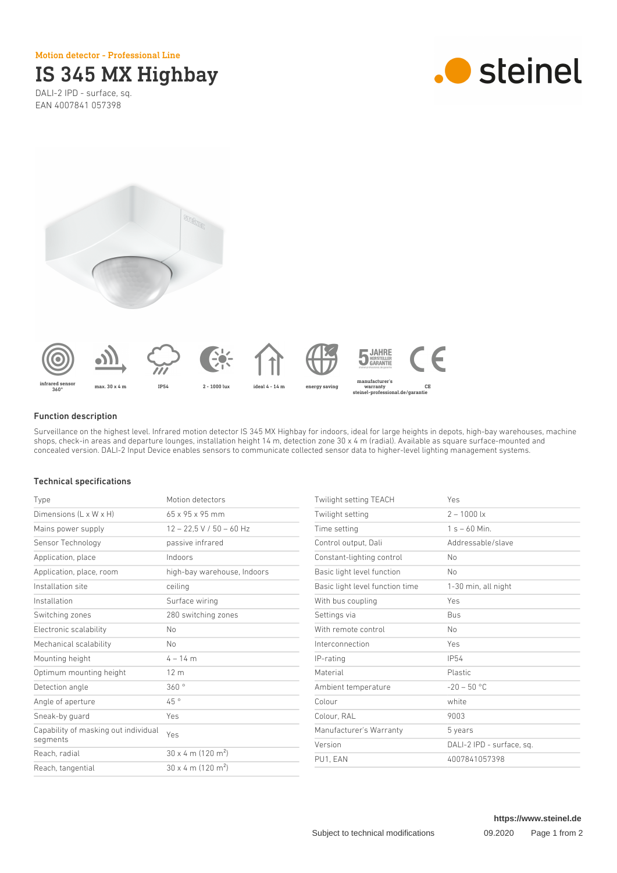Motion detector - Professional Line

# IS 345 MX Highbay

DALI-2 IPD - surface, sq. EAN 4007841 057398







#### Function description

Surveillance on the highest level. Infrared motion detector IS 345 MX Highbay for indoors, ideal for large heights in depots, high-bay warehouses, machine shops, check-in areas and departure lounges, installation height 14 m, detection zone 30 x 4 m (radial). Available as square surface-mounted and concealed version. DALI-2 Input Device enables sensors to communicate collected sensor data to higher-level lighting management systems.

## Technical specifications

| Type                                             | Motion detectors                      |
|--------------------------------------------------|---------------------------------------|
| Dimensions (L x W x H)                           | $65 \times 95 \times 95$ mm           |
| Mains power supply                               | $12 - 22.5$ V / 50 - 60 Hz            |
| Sensor Technology                                | passive infrared                      |
| Application, place                               | Indoors                               |
| Application, place, room                         | high-bay warehouse, Indoors           |
| Installation site                                | ceiling                               |
| Installation                                     | Surface wiring                        |
| Switching zones                                  | 280 switching zones                   |
| Electronic scalability                           | No                                    |
| Mechanical scalability                           | No                                    |
| Mounting height                                  | $4 - 14$ m                            |
| Optimum mounting height                          | 12 <sub>m</sub>                       |
| Detection angle                                  | 360°                                  |
| Angle of aperture                                | 45°                                   |
| Sneak-by guard                                   | Yes                                   |
| Capability of masking out individual<br>segments | Yes                                   |
| Reach, radial                                    | $30 \times 4$ m (120 m <sup>2</sup> ) |
| Reach, tangential                                | $30 \times 4$ m (120 m <sup>2</sup> ) |

| Twilight setting TEACH          | Yes                       |
|---------------------------------|---------------------------|
| Twilight setting                | $2 - 1000$ lx             |
| Time setting                    | $1 s - 60$ Min.           |
| Control output, Dali            | Addressable/slave         |
| Constant-lighting control       | No                        |
| Basic light level function      | No                        |
| Basic light level function time | 1-30 min, all night       |
| With bus coupling               | Yes                       |
| Settings via                    | Bus                       |
| With remote control             | No                        |
| Interconnection                 | Yes                       |
| IP-rating                       | IP54                      |
| Material                        | Plastic                   |
| Ambient temperature             | $-20 - 50$ °C             |
| Colour                          | white                     |
| Colour, RAL                     | 9003                      |
| Manufacturer's Warranty         | 5 years                   |
| Version                         | DALI-2 IPD - surface, sq. |
| PU1, EAN                        | 4007841057398             |